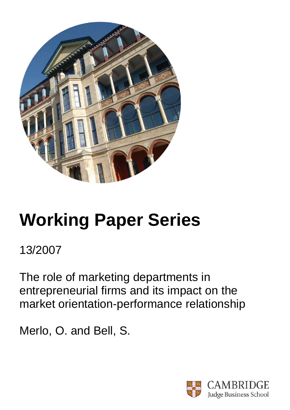

# **Working Paper Series**

13/2007

The role of marketing departments in entrepreneurial firms and its impact on the market orientation-performance relationship

Merlo, O. and Bell, S.

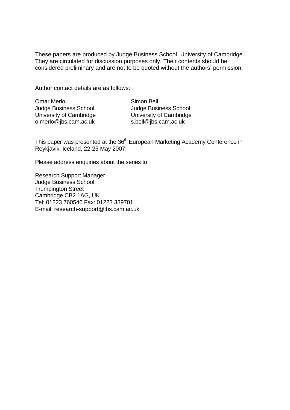These papers are produced by Judge Business School, University of Cambridge. They are circulated for discussion purposes only. Their contents should be considered preliminary and are not to be quoted without the authors' permission.

Author contact details are as follows:

| <b>Omar Merlo</b>            |
|------------------------------|
| <b>Judge Business School</b> |
| University of Cambridge      |
| o.merlo@jbs.cam.ac.uk        |

Simon Bell Judge Business School University of Cambridge s.bell@jbs.cam.ac.uk

This paper was presented at the 36<sup>th</sup> European Marketing Academy Conference in Reykjavik, Iceland, 22-25 May 2007.

Please address enquiries about the series to:

Research Support Manager Judge Business School Trumpington Street Cambridge CB2 1AG, UK Tel: 01223 760546 Fax: 01223 339701 E-mail: research-support@jbs.cam.ac.uk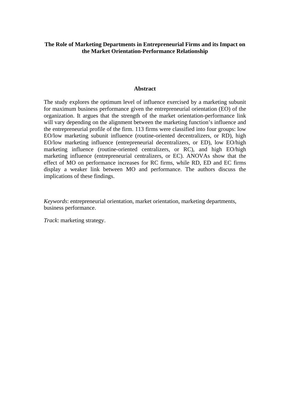# **The Role of Marketing Departments in Entrepreneurial Firms and its Impact on the Market Orientation-Performance Relationship**

## **Abstract**

The study explores the optimum level of influence exercised by a marketing subunit for maximum business performance given the entrepreneurial orientation (EO) of the organization. It argues that the strength of the market orientation-performance link will vary depending on the alignment between the marketing function's influence and the entrepreneurial profile of the firm. 113 firms were classified into four groups: low EO/low marketing subunit influence (routine-oriented decentralizers, or RD), high EO/low marketing influence (entrepreneurial decentralizers, or ED), low EO/high marketing influence (routine-oriented centralizers, or RC), and high EO/high marketing influence (entrepreneurial centralizers, or EC). ANOVAs show that the effect of MO on performance increases for RC firms, while RD, ED and EC firms display a weaker link between MO and performance. The authors discuss the implications of these findings.

*Keywords*: entrepreneurial orientation, market orientation, marketing departments, business performance.

*Track*: marketing strategy.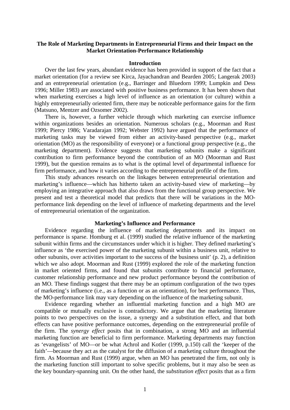# **The Role of Marketing Departments in Entrepreneurial Firms and their Impact on the Market Orientation-Performance Relationship**

## **Introduction**

Over the last few years, abundant evidence has been provided in support of the fact that a market orientation (for a review see Kirca, Jayachandran and Bearden 2005; Langerak 2003) and an entrepreneurial orientation (e.g., Barringer and Bluedorn 1999; Lumpkin and Dess 1996; Miller 1983) are associated with positive business performance. It has been shown that when marketing exercises a high level of influence as an orientation (or culture) within a highly entrepreneurially oriented firm, there may be noticeable performance gains for the firm (Matsuno, Mentzer and Ozsomer 2002).

There is, however, a further vehicle through which marketing can exercise influence within organizations besides an orientation. Numerous scholars (e.g., Moorman and Rust 1999; Piercy 1986; Varadarajan 1992; Webster 1992) have argued that the performance of marketing tasks may be viewed from either an activity-based perspective (e.g., market orientation (MO) as the responsibility of everyone) or a functional group perspective (e.g., the marketing department). Evidence suggests that marketing subunits make a significant contribution to firm performance beyond the contribution of an MO (Moorman and Rust 1999), but the question remains as to what is the optimal level of departmental influence for firm performance, and how it varies according to the entrepreneurial profile of the firm.

This study advances research on the linkages between entrepreneurial orientation and marketing's influence—which has hitherto taken an activity-based view of marketing—by employing an integrative approach that also draws from the functional group perspective. We present and test a theoretical model that predicts that there will be variations in the MOperformance link depending on the level of influence of marketing departments and the level of entrepreneurial orientation of the organization.

## **Marketing's Influence and Performance**

Evidence regarding the influence of marketing departments and its impact on performance is sparse. Homburg et al. (1999) studied the relative influence of the marketing subunit within firms and the circumstances under which it is higher. They defined marketing's influence as 'the exercised power of the marketing subunit within a business unit, relative to other subunits, over activities important to the success of the business unit' (p. 2), a definition which we also adopt. Moorman and Rust (1999) explored the role of the marketing function in market oriented firms, and found that subunits contribute to financial performance, customer relationship performance and new product performance beyond the contribution of an MO. These findings suggest that there may be an optimum configuration of the two types of marketing's influence (i.e., as a function or as an orientation), for best performance. Thus, the MO-performance link may vary depending on the influence of the marketing subunit.

Evidence regarding whether an influential marketing function and a high MO are compatible or mutually exclusive is contradictory. We argue that the marketing literature points to two perspectives on the issue, a synergy and a substitution effect, and that both effects can have positive performance outcomes, depending on the entrepreneurial profile of the firm. The *synergy effect* posits that in combination, a strong MO and an influential marketing function are beneficial to firm performance. Marketing departments may function as 'evangelists' of MO—or be what Achrol and Kotler (1999, p.150) call the 'keeper of the faith'—because they act as the catalyst for the diffusion of a marketing culture throughout the firm. As Moorman and Rust (1999) argue, when an MO has penetrated the firm, not only is the marketing function still important to solve specific problems, but it may also be seen as the key boundary-spanning unit. On the other hand, the *substitution effect* posits that as a firm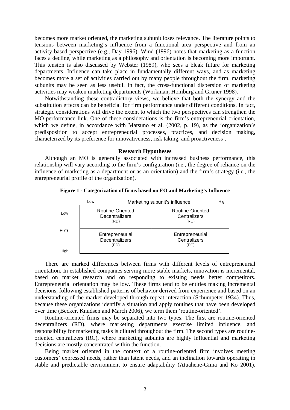becomes more market oriented, the marketing subunit loses relevance. The literature points to tensions between marketing's influence from a functional area perspective and from an activity-based perspective (e.g., Day 1996). Wind (1996) notes that marketing as a function faces a decline, while marketing as a philosophy and orientation is becoming more important. This tension is also discussed by Webster (1989), who sees a bleak future for marketing departments. Influence can take place in fundamentally different ways, and as marketing becomes more a set of activities carried out by many people throughout the firm, marketing subunits may be seen as less useful. In fact, the cross-functional dispersion of marketing activities may weaken marketing departments (Workman, Homburg and Gruner 1998).

Notwithstanding these contradictory views, we believe that both the synergy and the substitution effects can be beneficial for firm performance under different conditions. In fact, strategic considerations will drive the extent to which the two perspectives can strengthen the MO-performance link. One of these considerations is the firm's entrepreneurial orientation, which we define, in accordance with Matsuno et al. (2002, p. 19), as the 'organization's predisposition to accept entrepreneurial processes, practices, and decision making, characterized by its preference for innovativeness, risk taking, and proactiveness'.

#### **Research Hypotheses**

Although an MO is generally associated with increased business performance, this relationship will vary according to the firm's configuration (i.e., the degree of reliance on the influence of marketing as a department or as an orientation) and the firm's strategy (i.e., the entrepreneurial profile of the organization).

|      | Low                                        | Marketing subunit's influence            |  |  |  |
|------|--------------------------------------------|------------------------------------------|--|--|--|
| Low  | Routine-Oriented<br>Decentralizers<br>(RD) | Routine-Oriented<br>Centralizers<br>(RC) |  |  |  |
| E.O. | Entrepreneurial<br>Decentralizers<br>(ED)  | Entrepreneurial<br>Centralizers<br>(EC)  |  |  |  |
| High |                                            |                                          |  |  |  |

**Figure 1 - Categorization of firms based on EO and Marketing's Influence** 

There are marked differences between firms with different levels of entrepreneurial orientation. In established companies serving more stable markets, innovation is incremental, based on market research and on responding to existing needs better competitors. Entrepreneurial orientation may be low. These firms tend to be entities making incremental decisions, following established patterns of behavior derived from experience and based on an understanding of the market developed through repeat interaction (Schumpeter 1934). Thus, because these organizations identify a situation and apply routines that have been developed over time (Becker, Knudsen and March 2006), we term them 'routine-oriented'.

Routine-oriented firms may be separated into two types. The first are routine-oriented decentralizers (RD), where marketing departments exercise limited influence, and responsibility for marketing tasks is diluted throughout the firm. The second types are routineoriented centralizers (RC), where marketing subunits are highly influential and marketing decisions are mostly concentrated within the function.

Being market oriented in the context of a routine-oriented firm involves meeting customers' expressed needs, rather than latent needs, and an inclination towards operating in stable and predictable environment to ensure adaptability (Atuahene-Gima and Ko 2001).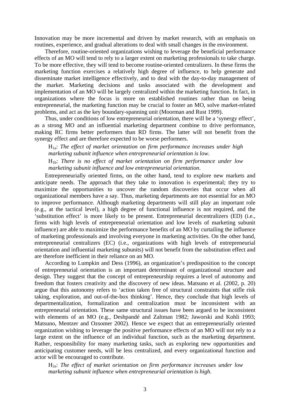Innovation may be more incremental and driven by market research, with an emphasis on routines, experience, and gradual alterations to deal with small changes in the environment.

Therefore, routine-oriented organizations wishing to leverage the beneficial performance effects of an MO will tend to rely to a larger extent on marketing professionals to take charge. To be more effective, they will tend to become routine-oriented centralizers. In these firms the marketing function exercises a relatively high degree of influence, to help generate and disseminate market intelligence effectively, and to deal with the day-to-day management of the market. Marketing decisions and tasks associated with the development and implementation of an MO will be largely centralized within the marketing function. In fact, in organizations where the focus is more on established routines rather than on being entrepreneurial, the marketing function may be crucial to foster an MO, solve market-related problems, and act as the key boundary-spanning unit (Moorman and Rust 1999).

Thus, under conditions of low entrepreneurial orientation, there will be a 'synergy effect', as a strong MO and an influential marketing department combine to drive performance, making RC firms better performers than RD firms. The latter will not benefit from the synergy effect and are therefore expected to be worse performers.

H1a: *The effect of market orientation on firm performance increases under high marketing subunit influence when entrepreneurial orientation is low*.

H1b: *There is no effect of market orientation on firm performance under low marketing subunit influence and low entrepreneurial orientation*.

Entrepreneurially oriented firms, on the other hand, tend to explore new markets and anticipate needs. The approach that they take to innovation is experimental; they try to maximize the opportunities to uncover the random discoveries that occur when all organizational members have a say. Thus, marketing departments are not essential for an MO to improve performance. Although marketing departments will still play an important role (e.g., at the tactical level), a high degree of functional influence is not required, and the 'substitution effect' is more likely to be present. Entrepreneurial decentralizers (ED) (i.e., firms with high levels of entrepreneurial orientation and low levels of marketing subunit influence) are able to maximize the performance benefits of an MO by curtailing the influence of marketing professionals and involving everyone in marketing activities. On the other hand, entrepreneurial centralizers (EC) (i.e., organizations with high levels of entrepreneurial orientation and influential marketing subunits) will not benefit from the substitution effect and are therefore inefficient in their reliance on an MO.

According to Lumpkin and Dess (1996), an organization's predisposition to the concept of entrepreneurial orientation is an important determinant of organizational structure and design. They suggest that the concept of entrepreneurship requires a level of autonomy and freedom that fosters creativity and the discovery of new ideas. Matsuno et al. (2002, p. 20) argue that this autonomy refers to 'action taken free of structural constraints that stifle risk taking, exploration, and out-of-the-box thinking'. Hence, they conclude that high levels of departmentalization, formalization and centralization must be inconsistent with an entrepreneurial orientation. These same structural issues have been argued to be inconsistent with elements of an MO (e.g., Deshpandé and Zaltman 1982; Jaworski and Kohli 1993; Matsuno, Mentzer and Ozsomer 2002). Hence we expect that an entrepreneurially oriented organization wishing to leverage the positive performance effects of an MO will not rely to a large extent on the influence of an individual function, such as the marketing department. Rather, responsibility for many marketing tasks, such as exploring new opportunities and anticipating customer needs, will be less centralized, and every organizational function and actor will be encouraged to contribute.

H2a: *The effect of market orientation on firm performance increases under low marketing subunit influence when entrepreneurial orientation is high*.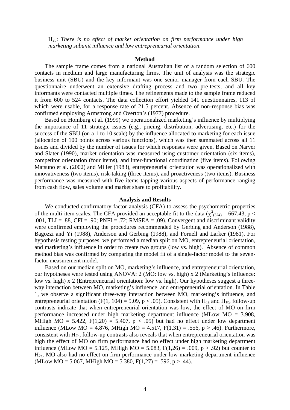H2b: *There is no effect of market orientation on firm performance under high marketing subunit influence and low entrepreneurial orientation*.

## **Method**

The sample frame comes from a national Australian list of a random selection of 600 contacts in medium and large manufacturing firms. The unit of analysis was the strategic business unit (SBU) and the key informant was one senior manager from each SBU. The questionnaire underwent an extensive drafting process and two pre-tests, and all key informants were contacted multiple times. The refinements made to the sample frame reduced it from 600 to 524 contacts. The data collection effort yielded 141 questionnaires, 113 of which were usable, for a response rate of 21.5 percent. Absence of non-response bias was confirmed employing Armstrong and Overton's (1977) procedure.

Based on Homburg et al. (1999) we operationalized marketing's influence by multiplying the importance of 11 strategic issues (e.g., pricing, distribution, advertising, etc.) for the success of the SBU (on a 1 to 10 scale) by the influence allocated to marketing for each issue (allocation of 100 points across various functions), which was then summated across all 11 issues and divided by the number of issues for which responses were given. Based on Narver and Slater (1990), market orientation was measured using customer orientation (six items), competitor orientation (four items), and inter-functional coordination (five items). Following Matsuno et al. (2002) and Miller (1983), entrepreneurial orientation was operationalized with innovativeness (two items), risk-taking (three items), and proactiveness (two items). Business performance was measured with five items tapping various aspects of performance ranging from cash flow, sales volume and market share to profitability.

## **Analysis and Results**

We conducted confirmatory factor analysis (CFA) to assess the psychometric properties of the multi-item scales. The CFA provided an acceptable fit to the data ( $\chi^2_{(324)} = 667.43$ , p < .001, TLI = .88, CFI = .90; PNFI = .72; RMSEA = .09). Convergent and discriminant validity were confirmed employing the procedures recommended by Gerbing and Anderson (1988), Bagozzi and Yi (1988), Anderson and Gerbing (1988), and Fornell and Larker (1981). For hypothesis testing purposes, we performed a median split on MO, entrepreneurial orientation, and marketing's influence in order to create two groups (low vs. high). Absence of common method bias was confirmed by comparing the model fit of a single-factor model to the sevenfactor measurement model.

Based on our median split on MO, marketing's influence, and entrepreneurial orientation, our hypotheses were tested using ANOVA: 2 (MO: low vs. high) x 2 (Marketing's influence: low vs. high) x 2 (Entrepreneurial orientation: low vs. high). Our hypotheses suggest a threeway interaction between MO, marketing's influence, and entrepreneurial orientation. In Table 1, we observe a significant three-way interaction between MO, marketing's influence, and entrepreneurial orientation (F(1, 104) = 5.09, p < .05). Consistent with  $H_{1a}$  and  $H_{1b}$ , follow-up contrasts indicate that when entrepreneurial orientation was low, the effect of MO on firm performance increased under high marketing department influence (MLow MO = 3.908, MHigh MO = 5.422,  $F(1,20) = 5.407$ ,  $p < .05$ ) but had no effect under low department influence (MLow MO = 4.876, MHigh MO = 4.517,  $F(1,31) = .556$ ,  $p > .46$ ). Furthermore, consistent with  $H_{2b}$ , follow-up contrasts also reveals that when entrepreneurial orientation was high the effect of MO on firm performance had no effect under high marketing department influence (MLow MO = 5.125, MHigh MO = 5.083, F(1,26) = .009,  $p > .92$ ) but counter to  $H_{2a}$ , MO also had no effect on firm performance under low marketing department influence (MLow MO = 5.067, MHigh MO = 5.380, F(1,27) = .596, p > .44).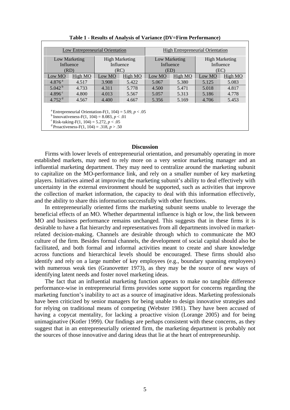| Low Entrepreneurial Orientation                                                                                                                                                                                                                     |         |                       |         | <b>High Entrepreneurial Orientation</b> |         |                       |         |  |  |
|-----------------------------------------------------------------------------------------------------------------------------------------------------------------------------------------------------------------------------------------------------|---------|-----------------------|---------|-----------------------------------------|---------|-----------------------|---------|--|--|
| Low Marketing                                                                                                                                                                                                                                       |         | <b>High Marketing</b> |         | Low Marketing                           |         | <b>High Marketing</b> |         |  |  |
| Influence                                                                                                                                                                                                                                           |         | Influence             |         | Influence                               |         | Influence             |         |  |  |
| (RD)                                                                                                                                                                                                                                                |         | (RC)                  |         | (ED)                                    |         | (EC)                  |         |  |  |
| Low MO                                                                                                                                                                                                                                              | High MO | Low MO                | High MO | Low MO                                  | High MO | Low MO                | High MO |  |  |
| 4.876 <sup>a</sup>                                                                                                                                                                                                                                  | 4.517   | 3.908                 | 5.422   | 5.067                                   | 5.380   | 5.125                 | 5.083   |  |  |
| $5.042^{b}$                                                                                                                                                                                                                                         | 4.733   | 4.311                 | 5.778   | 4.500                                   | 5.471   | 5.018                 | 4.817   |  |  |
| $4.896^{\circ}$                                                                                                                                                                                                                                     | 4.800   | 4.013                 | 5.567   | 5.057                                   | 5.313   | 5.186                 | 4.778   |  |  |
| $4.752$ <sup>d</sup>                                                                                                                                                                                                                                | 4.567   | 4.400                 | 4.667   | 5.356                                   | 5.169   | 4.706                 | 5.453   |  |  |
| <sup>a</sup> Entrepreneurial Orientation-F(1, 104) = 5.09, $p < .05$<br><sup>b</sup> Innovativeness-F(1, 104) = 8.083, $p < .01$<br><sup>c</sup> Risk-taking-F(1, 104) = 5.272, $p < .05$<br><sup>d</sup> Proactiveness-F(1, 104) = .318, $p > .50$ |         |                       |         |                                         |         |                       |         |  |  |

**Table 1 - Results of Analysis of Variance (DV=Firm Performance)** 

# **Discussion**

Firms with lower levels of entrepreneurial orientation, and presumably operating in more established markets, may need to rely more on a very senior marketing manager and an influential marketing department. They may need to centralize around the marketing subunit to capitalize on the MO-performance link, and rely on a smaller number of key marketing players. Initiatives aimed at improving the marketing subunit's ability to deal effectively with uncertainty in the external environment should be supported, such as activities that improve the collection of market information, the capacity to deal with this information effectively, and the ability to share this information successfully with other functions.

In entrepreneurially oriented firms the marketing subunit seems unable to leverage the beneficial effects of an MO. Whether departmental influence is high or low, the link between MO and business performance remains unchanged. This suggests that in these firms it is desirable to have a flat hierarchy and representatives from all departments involved in marketrelated decision-making. Channels are desirable through which to communicate the MO culture of the firm. Besides formal channels, the development of social capital should also be facilitated, and both formal and informal activities meant to create and share knowledge across functions and hierarchical levels should be encouraged. These firms should also identify and rely on a large number of key employees (e.g., boundary spanning employees) with numerous weak ties (Granovetter 1973), as they may be the source of new ways of identifying latent needs and foster novel marketing ideas.

The fact that an influential marketing function appears to make no tangible difference performance-wise in entrepreneurial firms provides some support for concerns regarding the marketing function's inability to act as a source of imaginative ideas. Marketing professionals have been criticized by senior managers for being unable to design innovative strategies and for relying on traditional means of competing (Webster 1981). They have been accused of having a copycat mentality, for lacking a proactive vision (Lorange 2005) and for being unimaginative (Kotler 1999). Our findings are perhaps consistent with these concerns, as they suggest that in an entrepreneurially oriented firm, the marketing department is probably not the sources of those innovative and daring ideas that lie at the heart of entrepreneurship.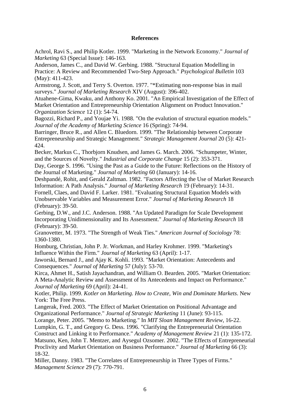# **References**

Achrol, Ravi S., and Philip Kotler. 1999. "Marketing in the Network Economy." *Journal of Marketing* 63 (Special Issue): 146-163.

Anderson, James C., and David W. Gerbing. 1988. "Structural Equation Modelling in Practice: A Review and Recommended Two-Step Approach." *Psychological Bulletin* 103 (May): 411-423.

Armstrong, J. Scott, and Terry S. Overton. 1977. "\*Estimating non-response bias in mail surveys." *Journal of Marketing Research* XIV (August): 396-402.

Atuahene-Gima, Kwaku, and Anthony Ko. 2001. "An Empirical Investigation of the Effect of Market Orientation and Entrepreneurship Orientation Alignment on Product Innovation." *Organization Science* 12 (1): 54-74.

Bagozzi, Richard P., and Youjae Yi. 1988. "On the evalution of structural equation models." *Journal of the Academy of Marketing Science* 16 (Spring): 74-94.

Barringer, Bruce R., and Allen C. Bluedorn. 1999. "The Relationship between Corporate Entrepreneurship and Strategic Management." *Strategic Management Journal* 20 (5): 421- 424.

Becker, Markus C., Thorbjorn Knudsen, and James G. March. 2006. "Schumpeter, Winter, and the Sources of Novelty." *Industrial and Corporate Change* 15 (2): 353-371.

Day, George S. 1996. "Using the Past as a Guide to the Future: Reflections on the History of the Journal of Marketing." *Journal of Marketing* 60 (January): 14-16.

Deshpandé, Rohit, and Gerald Zaltman. 1982. "Factors Affecting the Use of Market Research Information: A Path Analysis." *Journal of Marketing Research* 19 (February): 14-31.

Fornell, Claes, and David F. Larker. 1981. "Evaluating Structural Equation Models with Unobservable Variables and Measurement Error." *Journal of Marketing Research* 18 (February): 39-50.

Gerbing, D.W., and J.C. Anderson. 1988. "An Updated Paradigm for Scale Development Incorporating Unidimensionality and Its Assessment." *Journal of Marketing Research* 18 (February): 39-50.

Granovetter, M. 1973. "The Strength of Weak Ties." *American Journal of Sociology* 78: 1360-1380.

Homburg, Christian, John P. Jr. Workman, and Harley Krohmer. 1999. "Marketing's Influence Within the Firm." *Journal of Marketing* 63 (April): 1-17.

Jaworski, Bernard J., and Ajay K. Kohli. 1993. "Market Orientation: Antecedents and Consequences." *Journal of Marketing* 57 (July): 53-70.

Kirca, Ahmet H., Satish Jayachandran, and William O. Bearden. 2005. "Market Orientation: A Meta-Analytic Review and Assessment of Its Antecedents and Impact on Performance." *Journal of Marketing* 69 (April): 24-41.

Kotler, Philip. 1999. *Kotler on Marketing. How to Create, Win and Dominate Markets*. New York: The Free Press.

Langerak, Fred. 2003. "The Effect of Market Orientation on Positional Advantage and Organizational Performance." *Journal of Strategic Marketing* 11 (June): 93-115.

Lorange, Peter. 2005. "Memo to Marketing." In *MIT Sloan Management Review*, 16-22.

Lumpkin, G. T., and Gregory G. Dess. 1996. "Clarifying the Entrepreneurial Orientation Construct and Linking it to Performance." *Academy of Management Review* 21 (1): 135-172. Matsuno, Ken, John T. Mentzer, and Aysegul Ozsomer. 2002. "The Effects of Entrepreneurial Proclivity and Market Orientation on Business Performance." *Journal of Marketing* 66 (3): 18-32.

Miller, Danny. 1983. "The Correlates of Entrepreneurship in Three Types of Firms." *Management Science* 29 (7): 770-791.